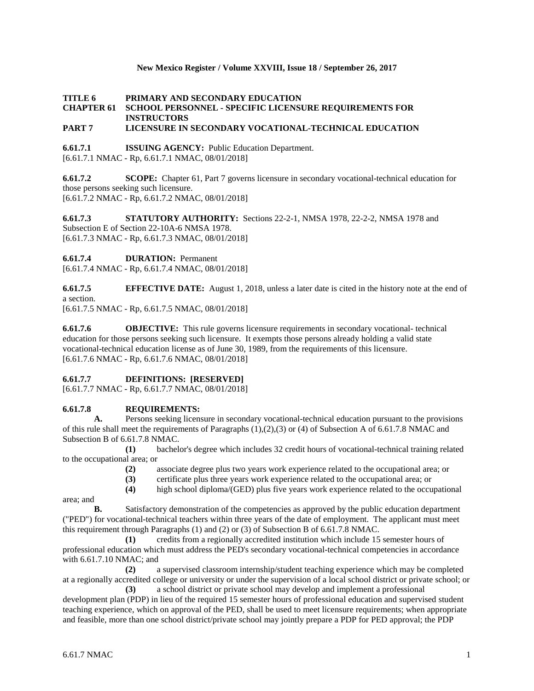#### **New Mexico Register / Volume XXVIII, Issue 18 / September 26, 2017**

# **TITLE 6 PRIMARY AND SECONDARY EDUCATION CHAPTER 61 SCHOOL PERSONNEL - SPECIFIC LICENSURE REQUIREMENTS FOR INSTRUCTORS**

## **PART 7 LICENSURE IN SECONDARY VOCATIONAL-TECHNICAL EDUCATION**

**6.61.7.1 ISSUING AGENCY:** Public Education Department. [6.61.7.1 NMAC - Rp, 6.61.7.1 NMAC, 08/01/2018]

**6.61.7.2 SCOPE:** Chapter 61, Part 7 governs licensure in secondary vocational-technical education for those persons seeking such licensure. [6.61.7.2 NMAC - Rp, 6.61.7.2 NMAC, 08/01/2018]

**6.61.7.3 STATUTORY AUTHORITY:** Sections 22-2-1, NMSA 1978, 22-2-2, NMSA 1978 and Subsection E of Section 22-10A-6 NMSA 1978. [6.61.7.3 NMAC - Rp, 6.61.7.3 NMAC, 08/01/2018]

**6.61.7.4 DURATION:** Permanent

[6.61.7.4 NMAC - Rp, 6.61.7.4 NMAC, 08/01/2018]

**6.61.7.5 EFFECTIVE DATE:** August 1, 2018, unless a later date is cited in the history note at the end of a section.

[6.61.7.5 NMAC - Rp, 6.61.7.5 NMAC, 08/01/2018]

**6.61.7.6 OBJECTIVE:** This rule governs licensure requirements in secondary vocational- technical education for those persons seeking such licensure. It exempts those persons already holding a valid state vocational-technical education license as of June 30, 1989, from the requirements of this licensure. [6.61.7.6 NMAC - Rp, 6.61.7.6 NMAC, 08/01/2018]

### **6.61.7.7 DEFINITIONS: [RESERVED]**

[6.61.7.7 NMAC - Rp, 6.61.7.7 NMAC, 08/01/2018]

### **6.61.7.8 REQUIREMENTS:**

**A.** Persons seeking licensure in secondary vocational-technical education pursuant to the provisions of this rule shall meet the requirements of Paragraphs (1),(2),(3) or (4) of Subsection A of 6.61.7.8 NMAC and Subsection B of 6.61.7.8 NMAC.

**(1)** bachelor's degree which includes 32 credit hours of vocational-technical training related to the occupational area; or

**(2)** associate degree plus two years work experience related to the occupational area; or

**(3)** certificate plus three years work experience related to the occupational area; or

**(4)** high school diploma/(GED) plus five years work experience related to the occupational

area; and

**B.** Satisfactory demonstration of the competencies as approved by the public education department ("PED") for vocational-technical teachers within three years of the date of employment. The applicant must meet this requirement through Paragraphs (1) and (2) or (3) of Subsection B of 6.61.7.8 NMAC.

**(1)** credits from a regionally accredited institution which include 15 semester hours of professional education which must address the PED's secondary vocational-technical competencies in accordance with 6.61.7.10 NMAC; and

**(2)** a supervised classroom internship/student teaching experience which may be completed at a regionally accredited college or university or under the supervision of a local school district or private school; or **(3)** a school district or private school may develop and implement a professional

development plan (PDP) in lieu of the required 15 semester hours of professional education and supervised student teaching experience, which on approval of the PED, shall be used to meet licensure requirements; when appropriate and feasible, more than one school district/private school may jointly prepare a PDP for PED approval; the PDP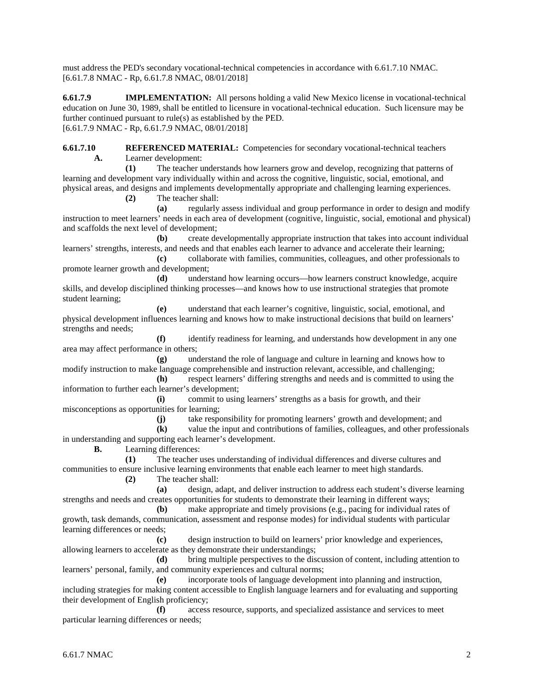must address the PED's secondary vocational-technical competencies in accordance with 6.61.7.10 NMAC. [6.61.7.8 NMAC - Rp, 6.61.7.8 NMAC, 08/01/2018]

**6.61.7.9 IMPLEMENTATION:** All persons holding a valid New Mexico license in vocational-technical education on June 30, 1989, shall be entitled to licensure in vocational-technical education. Such licensure may be further continued pursuant to rule(s) as established by the PED. [6.61.7.9 NMAC - Rp, 6.61.7.9 NMAC, 08/01/2018]

**6.61.7.10 REFERENCED MATERIAL:** Competencies for secondary vocational-technical teachers **A.** Learner development:

**(1)** The teacher understands how learners grow and develop, recognizing that patterns of learning and development vary individually within and across the cognitive, linguistic, social, emotional, and physical areas, and designs and implements developmentally appropriate and challenging learning experiences.

**(2)** The teacher shall:

**(a)** regularly assess individual and group performance in order to design and modify instruction to meet learners' needs in each area of development (cognitive, linguistic, social, emotional and physical) and scaffolds the next level of development;

**(b)** create developmentally appropriate instruction that takes into account individual learners' strengths, interests, and needs and that enables each learner to advance and accelerate their learning;

**(c)** collaborate with families, communities, colleagues, and other professionals to promote learner growth and development;

**(d)** understand how learning occurs—how learners construct knowledge, acquire skills, and develop disciplined thinking processes—and knows how to use instructional strategies that promote student learning;

**(e)** understand that each learner's cognitive, linguistic, social, emotional, and physical development influences learning and knows how to make instructional decisions that build on learners' strengths and needs;

**(f)** identify readiness for learning, and understands how development in any one area may affect performance in others;

**(g)** understand the role of language and culture in learning and knows how to modify instruction to make language comprehensible and instruction relevant, accessible, and challenging;

**(h)** respect learners' differing strengths and needs and is committed to using the information to further each learner's development;

**(i)** commit to using learners' strengths as a basis for growth, and their misconceptions as opportunities for learning;

**(j)** take responsibility for promoting learners' growth and development; and

**(k)** value the input and contributions of families, colleagues, and other professionals in understanding and supporting each learner's development.

**B.** Learning differences:

**(1)** The teacher uses understanding of individual differences and diverse cultures and communities to ensure inclusive learning environments that enable each learner to meet high standards.

**(2)** The teacher shall:

**(a)** design, adapt, and deliver instruction to address each student's diverse learning strengths and needs and creates opportunities for students to demonstrate their learning in different ways;

**(b)** make appropriate and timely provisions (e.g., pacing for individual rates of growth, task demands, communication, assessment and response modes) for individual students with particular learning differences or needs;

**(c)** design instruction to build on learners' prior knowledge and experiences, allowing learners to accelerate as they demonstrate their understandings;

**(d)** bring multiple perspectives to the discussion of content, including attention to learners' personal, family, and community experiences and cultural norms;

**(e)** incorporate tools of language development into planning and instruction, including strategies for making content accessible to English language learners and for evaluating and supporting their development of English proficiency;

**(f)** access resource, supports, and specialized assistance and services to meet particular learning differences or needs;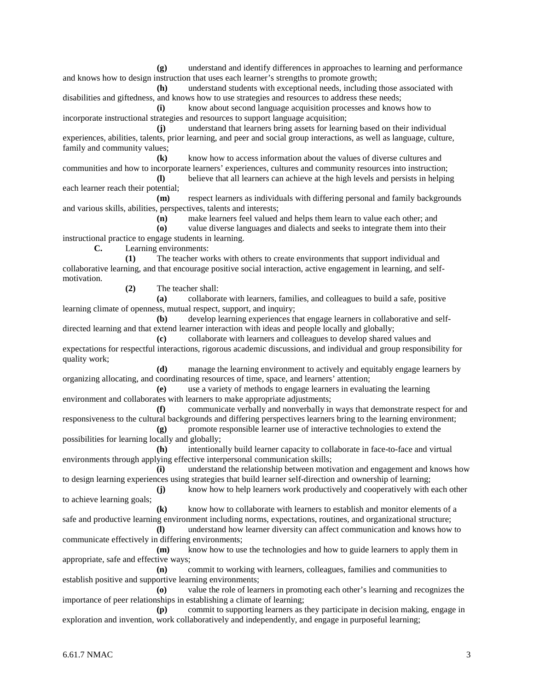**(g)** understand and identify differences in approaches to learning and performance and knows how to design instruction that uses each learner's strengths to promote growth;

**(h)** understand students with exceptional needs, including those associated with disabilities and giftedness, and knows how to use strategies and resources to address these needs;

**(i)** know about second language acquisition processes and knows how to incorporate instructional strategies and resources to support language acquisition;

**(j)** understand that learners bring assets for learning based on their individual experiences, abilities, talents, prior learning, and peer and social group interactions, as well as language, culture, family and community values;

**(k)** know how to access information about the values of diverse cultures and communities and how to incorporate learners' experiences, cultures and community resources into instruction;

**(l)** believe that all learners can achieve at the high levels and persists in helping each learner reach their potential;

**(m)** respect learners as individuals with differing personal and family backgrounds and various skills, abilities, perspectives, talents and interests;

**(n)** make learners feel valued and helps them learn to value each other; and

**(o)** value diverse languages and dialects and seeks to integrate them into their instructional practice to engage students in learning.

**C.** Learning environments:

**(1)** The teacher works with others to create environments that support individual and collaborative learning, and that encourage positive social interaction, active engagement in learning, and selfmotivation.

**(2)** The teacher shall:

**(a)** collaborate with learners, families, and colleagues to build a safe, positive learning climate of openness, mutual respect, support, and inquiry;

**(b)** develop learning experiences that engage learners in collaborative and selfdirected learning and that extend learner interaction with ideas and people locally and globally;

**(c)** collaborate with learners and colleagues to develop shared values and expectations for respectful interactions, rigorous academic discussions, and individual and group responsibility for quality work;

**(d)** manage the learning environment to actively and equitably engage learners by organizing allocating, and coordinating resources of time, space, and learners' attention;

**(e)** use a variety of methods to engage learners in evaluating the learning environment and collaborates with learners to make appropriate adjustments;

**(f)** communicate verbally and nonverbally in ways that demonstrate respect for and responsiveness to the cultural backgrounds and differing perspectives learners bring to the learning environment;

**(g)** promote responsible learner use of interactive technologies to extend the possibilities for learning locally and globally;

**(h)** intentionally build learner capacity to collaborate in face-to-face and virtual environments through applying effective interpersonal communication skills;

**(i)** understand the relationship between motivation and engagement and knows how to design learning experiences using strategies that build learner self-direction and ownership of learning;

**(j)** know how to help learners work productively and cooperatively with each other to achieve learning goals;

**(k)** know how to collaborate with learners to establish and monitor elements of a safe and productive learning environment including norms, expectations, routines, and organizational structure;

**(l)** understand how learner diversity can affect communication and knows how to communicate effectively in differing environments;

**(m)** know how to use the technologies and how to guide learners to apply them in appropriate, safe and effective ways;

**(n)** commit to working with learners, colleagues, families and communities to establish positive and supportive learning environments;

**(o)** value the role of learners in promoting each other's learning and recognizes the importance of peer relationships in establishing a climate of learning;

**(p)** commit to supporting learners as they participate in decision making, engage in exploration and invention, work collaboratively and independently, and engage in purposeful learning;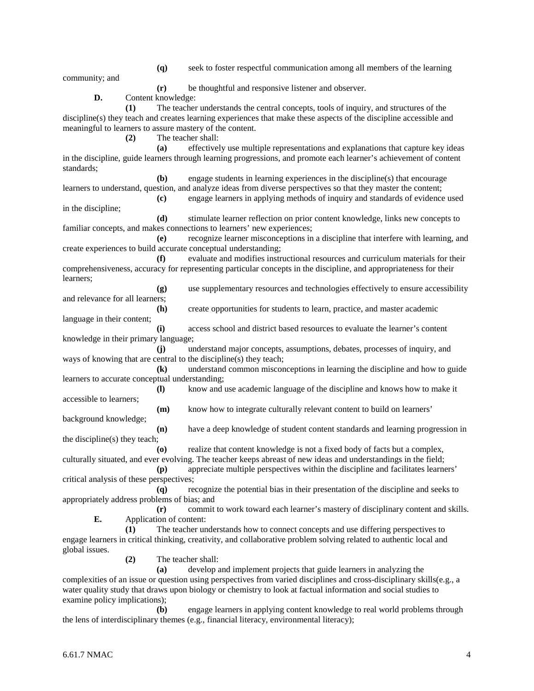**(q)** seek to foster respectful communication among all members of the learning

community; and

**(r)** be thoughtful and responsive listener and observer.

**D.** Content knowledge:

**(1)** The teacher understands the central concepts, tools of inquiry, and structures of the discipline(s) they teach and creates learning experiences that make these aspects of the discipline accessible and meaningful to learners to assure mastery of the content.

**(2)** The teacher shall:

**(a)** effectively use multiple representations and explanations that capture key ideas in the discipline, guide learners through learning progressions, and promote each learner's achievement of content standards;

**(b)** engage students in learning experiences in the discipline(s) that encourage learners to understand, question, and analyze ideas from diverse perspectives so that they master the content;

**(c)** engage learners in applying methods of inquiry and standards of evidence used in the discipline;

**(d)** stimulate learner reflection on prior content knowledge, links new concepts to familiar concepts, and makes connections to learners' new experiences;

**(e)** recognize learner misconceptions in a discipline that interfere with learning, and create experiences to build accurate conceptual understanding;

**(f)** evaluate and modifies instructional resources and curriculum materials for their comprehensiveness, accuracy for representing particular concepts in the discipline, and appropriateness for their learners;

**(g)** use supplementary resources and technologies effectively to ensure accessibility and relevance for all learners;

**(h)** create opportunities for students to learn, practice, and master academic language in their content;

**(i)** access school and district based resources to evaluate the learner's content knowledge in their primary language;

**(j)** understand major concepts, assumptions, debates, processes of inquiry, and ways of knowing that are central to the discipline(s) they teach;

**(k)** understand common misconceptions in learning the discipline and how to guide learners to accurate conceptual understanding;

**(l)** know and use academic language of the discipline and knows how to make it accessible to learners;

**(m)** know how to integrate culturally relevant content to build on learners'

**(n)** have a deep knowledge of student content standards and learning progression in the discipline(s) they teach;

**(o)** realize that content knowledge is not a fixed body of facts but a complex, culturally situated, and ever evolving. The teacher keeps abreast of new ideas and understandings in the field; **(p)** appreciate multiple perspectives within the discipline and facilitates learners'

critical analysis of these perspectives;

**(q)** recognize the potential bias in their presentation of the discipline and seeks to appropriately address problems of bias; and

**(r)** commit to work toward each learner's mastery of disciplinary content and skills. **E.** Application of content:

**(1)** The teacher understands how to connect concepts and use differing perspectives to engage learners in critical thinking, creativity, and collaborative problem solving related to authentic local and global issues.

**(2)** The teacher shall:

**(a)** develop and implement projects that guide learners in analyzing the complexities of an issue or question using perspectives from varied disciplines and cross-disciplinary skills(e.g., a water quality study that draws upon biology or chemistry to look at factual information and social studies to examine policy implications);

**(b)** engage learners in applying content knowledge to real world problems through the lens of interdisciplinary themes (e.g., financial literacy, environmental literacy);

background knowledge;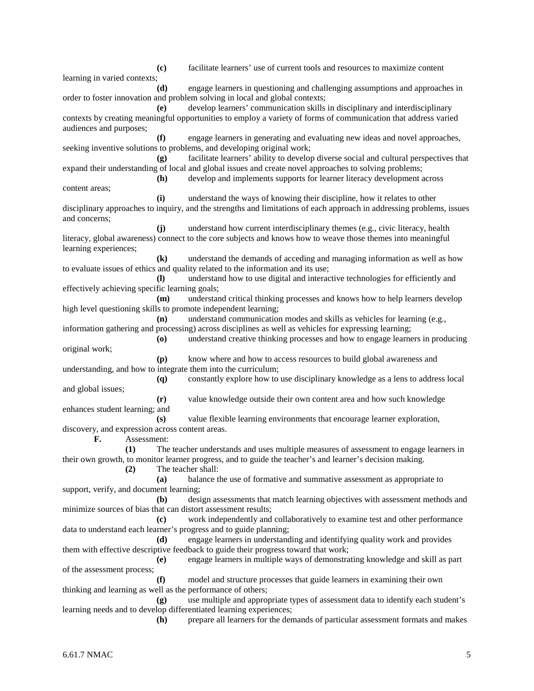**(c)** facilitate learners' use of current tools and resources to maximize content learning in varied contexts; **(d)** engage learners in questioning and challenging assumptions and approaches in order to foster innovation and problem solving in local and global contexts; **(e)** develop learners' communication skills in disciplinary and interdisciplinary contexts by creating meaningful opportunities to employ a variety of forms of communication that address varied audiences and purposes; **(f)** engage learners in generating and evaluating new ideas and novel approaches, seeking inventive solutions to problems, and developing original work; **(g)** facilitate learners' ability to develop diverse social and cultural perspectives that expand their understanding of local and global issues and create novel approaches to solving problems; **(h)** develop and implements supports for learner literacy development across content areas; **(i)** understand the ways of knowing their discipline, how it relates to other disciplinary approaches to inquiry, and the strengths and limitations of each approach in addressing problems, issues and concerns; **(j)** understand how current interdisciplinary themes (e.g., civic literacy, health literacy, global awareness) connect to the core subjects and knows how to weave those themes into meaningful learning experiences; **(k)** understand the demands of acceding and managing information as well as how to evaluate issues of ethics and quality related to the information and its use; **(l)** understand how to use digital and interactive technologies for efficiently and effectively achieving specific learning goals; **(m)** understand critical thinking processes and knows how to help learners develop high level questioning skills to promote independent learning; **(n)** understand communication modes and skills as vehicles for learning (e.g., information gathering and processing) across disciplines as well as vehicles for expressing learning; **(o)** understand creative thinking processes and how to engage learners in producing original work; **(p)** know where and how to access resources to build global awareness and understanding, and how to integrate them into the curriculum; **(q)** constantly explore how to use disciplinary knowledge as a lens to address local and global issues; **(r)** value knowledge outside their own content area and how such knowledge enhances student learning; and **(s)** value flexible learning environments that encourage learner exploration, discovery, and expression across content areas. **F.** Assessment: **(1)** The teacher understands and uses multiple measures of assessment to engage learners in their own growth, to monitor learner progress, and to guide the teacher's and learner's decision making. **(2)** The teacher shall: **(a)** balance the use of formative and summative assessment as appropriate to support, verify, and document learning; **(b)** design assessments that match learning objectives with assessment methods and minimize sources of bias that can distort assessment results; **(c)** work independently and collaboratively to examine test and other performance data to understand each learner's progress and to guide planning; **(d)** engage learners in understanding and identifying quality work and provides them with effective descriptive feedback to guide their progress toward that work; **(e)** engage learners in multiple ways of demonstrating knowledge and skill as part of the assessment process; **(f)** model and structure processes that guide learners in examining their own thinking and learning as well as the performance of others; **(g)** use multiple and appropriate types of assessment data to identify each student's learning needs and to develop differentiated learning experiences; **(h)** prepare all learners for the demands of particular assessment formats and makes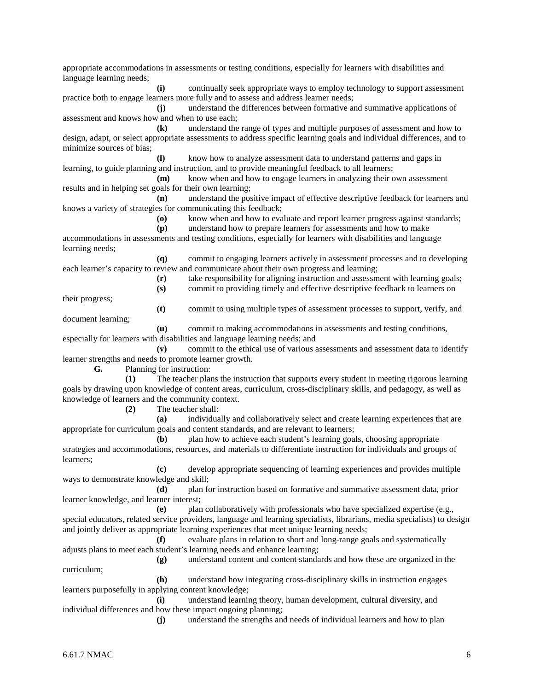appropriate accommodations in assessments or testing conditions, especially for learners with disabilities and language learning needs; **(i)** continually seek appropriate ways to employ technology to support assessment practice both to engage learners more fully and to assess and address learner needs; **(j)** understand the differences between formative and summative applications of assessment and knows how and when to use each; **(k)** understand the range of types and multiple purposes of assessment and how to design, adapt, or select appropriate assessments to address specific learning goals and individual differences, and to minimize sources of bias; **(l)** know how to analyze assessment data to understand patterns and gaps in learning, to guide planning and instruction, and to provide meaningful feedback to all learners; **(m)** know when and how to engage learners in analyzing their own assessment results and in helping set goals for their own learning; **(n)** understand the positive impact of effective descriptive feedback for learners and knows a variety of strategies for communicating this feedback; **(o)** know when and how to evaluate and report learner progress against standards; **(p)** understand how to prepare learners for assessments and how to make accommodations in assessments and testing conditions, especially for learners with disabilities and language learning needs; **(q)** commit to engaging learners actively in assessment processes and to developing each learner's capacity to review and communicate about their own progress and learning; **(r)** take responsibility for aligning instruction and assessment with learning goals; **(s)** commit to providing timely and effective descriptive feedback to learners on their progress; **(t)** commit to using multiple types of assessment processes to support, verify, and document learning; **(u)** commit to making accommodations in assessments and testing conditions, especially for learners with disabilities and language learning needs; and **(v)** commit to the ethical use of various assessments and assessment data to identify learner strengths and needs to promote learner growth. **G.** Planning for instruction: **(1)** The teacher plans the instruction that supports every student in meeting rigorous learning goals by drawing upon knowledge of content areas, curriculum, cross-disciplinary skills, and pedagogy, as well as knowledge of learners and the community context. **(2)** The teacher shall: **(a)** individually and collaboratively select and create learning experiences that are appropriate for curriculum goals and content standards, and are relevant to learners; **(b)** plan how to achieve each student's learning goals, choosing appropriate strategies and accommodations, resources, and materials to differentiate instruction for individuals and groups of learners; **(c)** develop appropriate sequencing of learning experiences and provides multiple ways to demonstrate knowledge and skill; **(d)** plan for instruction based on formative and summative assessment data, prior learner knowledge, and learner interest; **(e)** plan collaboratively with professionals who have specialized expertise (e.g., special educators, related service providers, language and learning specialists, librarians, media specialists) to design and jointly deliver as appropriate learning experiences that meet unique learning needs; **(f)** evaluate plans in relation to short and long-range goals and systematically adjusts plans to meet each student's learning needs and enhance learning; **(g)** understand content and content standards and how these are organized in the curriculum; **(h)** understand how integrating cross-disciplinary skills in instruction engages learners purposefully in applying content knowledge; **(i)** understand learning theory, human development, cultural diversity, and individual differences and how these impact ongoing planning; **(j)** understand the strengths and needs of individual learners and how to plan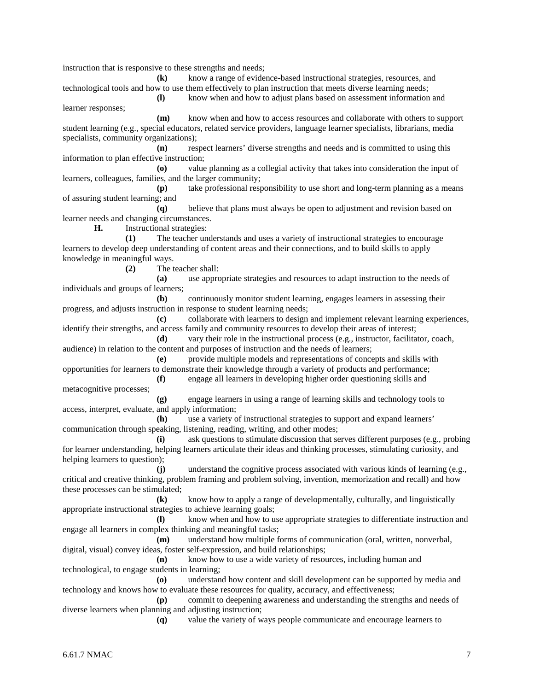instruction that is responsive to these strengths and needs;

**(k)** know a range of evidence-based instructional strategies, resources, and technological tools and how to use them effectively to plan instruction that meets diverse learning needs;

**(l)** know when and how to adjust plans based on assessment information and learner responses;

**(m)** know when and how to access resources and collaborate with others to support student learning (e.g., special educators, related service providers, language learner specialists, librarians, media specialists, community organizations);

**(n)** respect learners' diverse strengths and needs and is committed to using this information to plan effective instruction;

**(o)** value planning as a collegial activity that takes into consideration the input of learners, colleagues, families, and the larger community;

**(p)** take professional responsibility to use short and long-term planning as a means of assuring student learning; and

**(q)** believe that plans must always be open to adjustment and revision based on learner needs and changing circumstances.

**H.** Instructional strategies:

**(1)** The teacher understands and uses a variety of instructional strategies to encourage learners to develop deep understanding of content areas and their connections, and to build skills to apply knowledge in meaningful ways.

**(2)** The teacher shall:

**(a)** use appropriate strategies and resources to adapt instruction to the needs of individuals and groups of learners;

**(b)** continuously monitor student learning, engages learners in assessing their progress, and adjusts instruction in response to student learning needs;

**(c)** collaborate with learners to design and implement relevant learning experiences, identify their strengths, and access family and community resources to develop their areas of interest;

**(d)** vary their role in the instructional process (e.g., instructor, facilitator, coach, audience) in relation to the content and purposes of instruction and the needs of learners;

**(e)** provide multiple models and representations of concepts and skills with opportunities for learners to demonstrate their knowledge through a variety of products and performance;

**(f)** engage all learners in developing higher order questioning skills and metacognitive processes;

**(g)** engage learners in using a range of learning skills and technology tools to access, interpret, evaluate, and apply information;

**(h)** use a variety of instructional strategies to support and expand learners' communication through speaking, listening, reading, writing, and other modes;

**(i)** ask questions to stimulate discussion that serves different purposes (e.g., probing for learner understanding, helping learners articulate their ideas and thinking processes, stimulating curiosity, and helping learners to question);

**(j)** understand the cognitive process associated with various kinds of learning (e.g., critical and creative thinking, problem framing and problem solving, invention, memorization and recall) and how these processes can be stimulated;

**(k)** know how to apply a range of developmentally, culturally, and linguistically appropriate instructional strategies to achieve learning goals;

**(l)** know when and how to use appropriate strategies to differentiate instruction and engage all learners in complex thinking and meaningful tasks;

**(m)** understand how multiple forms of communication (oral, written, nonverbal, digital, visual) convey ideas, foster self-expression, and build relationships;

**(n)** know how to use a wide variety of resources, including human and technological, to engage students in learning;

**(o)** understand how content and skill development can be supported by media and technology and knows how to evaluate these resources for quality, accuracy, and effectiveness;

**(p)** commit to deepening awareness and understanding the strengths and needs of diverse learners when planning and adjusting instruction;

**(q)** value the variety of ways people communicate and encourage learners to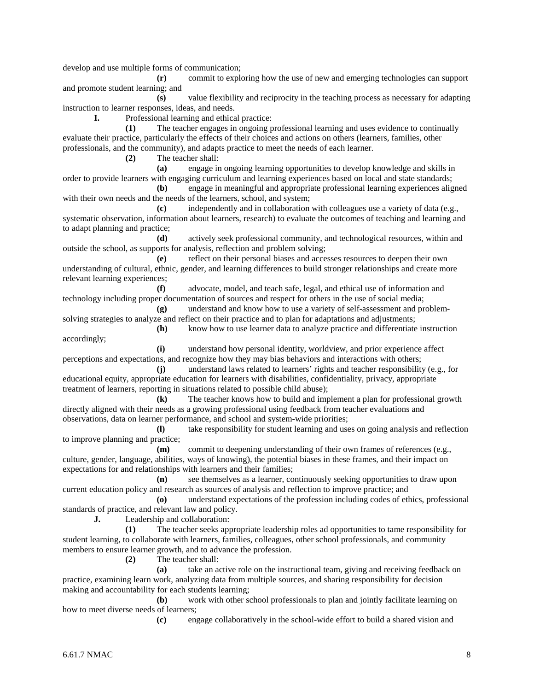develop and use multiple forms of communication;

**(r)** commit to exploring how the use of new and emerging technologies can support and promote student learning; and

**(s)** value flexibility and reciprocity in the teaching process as necessary for adapting instruction to learner responses, ideas, and needs.

**I.** Professional learning and ethical practice:

**(1)** The teacher engages in ongoing professional learning and uses evidence to continually evaluate their practice, particularly the effects of their choices and actions on others (learners, families, other professionals, and the community), and adapts practice to meet the needs of each learner.

**(2)** The teacher shall:

**(a)** engage in ongoing learning opportunities to develop knowledge and skills in order to provide learners with engaging curriculum and learning experiences based on local and state standards;

**(b)** engage in meaningful and appropriate professional learning experiences aligned with their own needs and the needs of the learners, school, and system;

**(c)** independently and in collaboration with colleagues use a variety of data (e.g., systematic observation, information about learners, research) to evaluate the outcomes of teaching and learning and to adapt planning and practice;

**(d)** actively seek professional community, and technological resources, within and outside the school, as supports for analysis, reflection and problem solving;

**(e)** reflect on their personal biases and accesses resources to deepen their own understanding of cultural, ethnic, gender, and learning differences to build stronger relationships and create more relevant learning experiences;

**(f)** advocate, model, and teach safe, legal, and ethical use of information and technology including proper documentation of sources and respect for others in the use of social media;

**(g)** understand and know how to use a variety of self-assessment and problemsolving strategies to analyze and reflect on their practice and to plan for adaptations and adjustments;

**(h)** know how to use learner data to analyze practice and differentiate instruction accordingly;

**(i)** understand how personal identity, worldview, and prior experience affect perceptions and expectations, and recognize how they may bias behaviors and interactions with others;

**(j)** understand laws related to learners' rights and teacher responsibility (e.g., for educational equity, appropriate education for learners with disabilities, confidentiality, privacy, appropriate treatment of learners, reporting in situations related to possible child abuse);

**(k)** The teacher knows how to build and implement a plan for professional growth directly aligned with their needs as a growing professional using feedback from teacher evaluations and observations, data on learner performance, and school and system-wide priorities;

**(l)** take responsibility for student learning and uses on going analysis and reflection to improve planning and practice;

**(m)** commit to deepening understanding of their own frames of references (e.g., culture, gender, language, abilities, ways of knowing), the potential biases in these frames, and their impact on expectations for and relationships with learners and their families;

**(n)** see themselves as a learner, continuously seeking opportunities to draw upon current education policy and research as sources of analysis and reflection to improve practice; and

**(o)** understand expectations of the profession including codes of ethics, professional standards of practice, and relevant law and policy.

**J.** Leadership and collaboration:

**(1)** The teacher seeks appropriate leadership roles ad opportunities to tame responsibility for student learning, to collaborate with learners, families, colleagues, other school professionals, and community members to ensure learner growth, and to advance the profession.

**(2)** The teacher shall:

**(a)** take an active role on the instructional team, giving and receiving feedback on practice, examining learn work, analyzing data from multiple sources, and sharing responsibility for decision making and accountability for each students learning;

**(b)** work with other school professionals to plan and jointly facilitate learning on how to meet diverse needs of learners;

**(c)** engage collaboratively in the school-wide effort to build a shared vision and